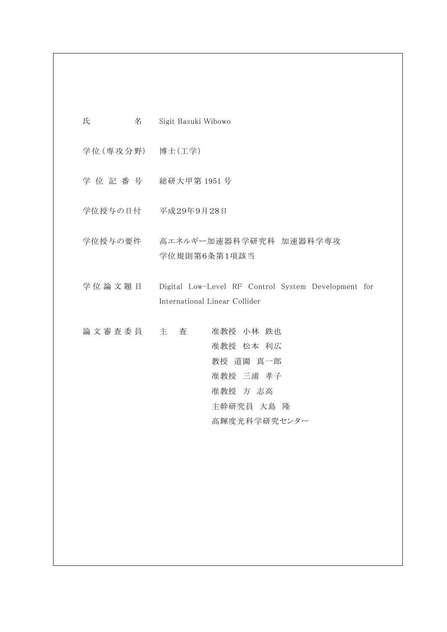- 学位 (専攻分野) 博士 (工学)
- 学 位 記 番 号 総研大甲第 1951 号
- 学位授与の日付 平成29年9月28日
- 学位授与の要件 高エネルギー加速器科学研究科 加速器科学専攻 学位規則第6条第1項該当
- 学 位 論 文 題 目 Digital Low-Level RF Control System Development for International Linear Collider
- 論 文 審 査 委 員 主 查 在 准教授 小林 鉄也 准教授 松本 利広 教授 道園 真一郎 准教授 三浦 孝子 准教授 方 志高 主幹研究員 大島 隆 高輝度光科学研究センター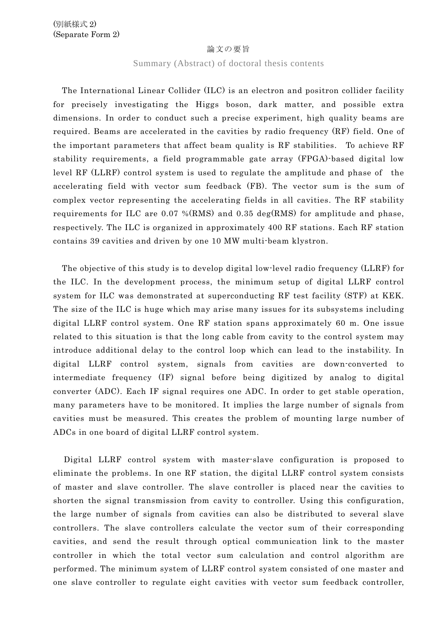## 論文の要旨

# Summary (Abstract) of doctoral thesis contents

The International Linear Collider (ILC) is an electron and positron collider facility for precisely investigating the Higgs boson, dark matter, and possible extra dimensions. In order to conduct such a precise experiment, high quality beams are required. Beams are accelerated in the cavities by radio frequency (RF) field. One of the important parameters that affect beam quality is RF stabilities. To achieve RF stability requirements, a field programmable gate array (FPGA)-based digital low level RF (LLRF) control system is used to regulate the amplitude and phase of the accelerating field with vector sum feedback (FB). The vector sum is the sum of complex vector representing the accelerating fields in all cavities. The RF stability requirements for ILC are 0.07 %(RMS) and 0.35 deg(RMS) for amplitude and phase, respectively. The ILC is organized in approximately 400 RF stations. Each RF station contains 39 cavities and driven by one 10 MW multi-beam klystron.

The objective of this study is to develop digital low-level radio frequency (LLRF) for the ILC. In the development process, the minimum setup of digital LLRF control system for ILC was demonstrated at superconducting RF test facility (STF) at KEK. The size of the ILC is huge which may arise many issues for its subsystems including digital LLRF control system. One RF station spans approximately 60 m. One issue related to this situation is that the long cable from cavity to the control system may introduce additional delay to the control loop which can lead to the instability. In digital LLRF control system, signals from cavities are down-converted to intermediate frequency (IF) signal before being digitized by analog to digital converter (ADC). Each IF signal requires one ADC. In order to get stable operation, many parameters have to be monitored. It implies the large number of signals from cavities must be measured. This creates the problem of mounting large number of ADCs in one board of digital LLRF control system.

Digital LLRF control system with master-slave configuration is proposed to eliminate the problems. In one RF station, the digital LLRF control system consists of master and slave controller. The slave controller is placed near the cavities to shorten the signal transmission from cavity to controller. Using this configuration, the large number of signals from cavities can also be distributed to several slave controllers. The slave controllers calculate the vector sum of their corresponding cavities, and send the result through optical communication link to the master controller in which the total vector sum calculation and control algorithm are performed. The minimum system of LLRF control system consisted of one master and one slave controller to regulate eight cavities with vector sum feedback controller,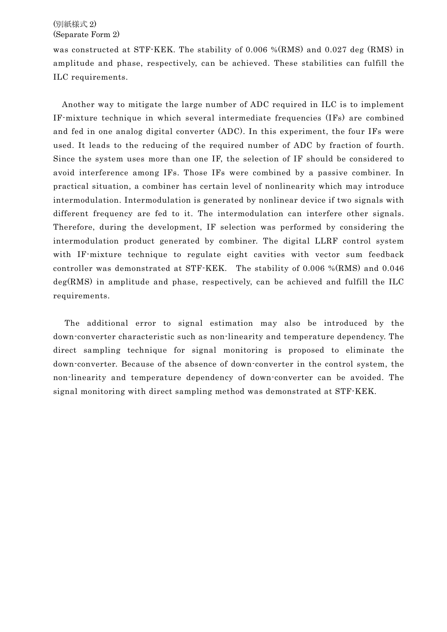# (別紙様式 2) (Separate Form 2)

was constructed at STF-KEK. The stability of 0.006 %(RMS) and 0.027 deg (RMS) in amplitude and phase, respectively, can be achieved. These stabilities can fulfill the ILC requirements.

Another way to mitigate the large number of ADC required in ILC is to implement IF-mixture technique in which several intermediate frequencies (IFs) are combined and fed in one analog digital converter (ADC). In this experiment, the four IFs were used. It leads to the reducing of the required number of ADC by fraction of fourth. Since the system uses more than one IF, the selection of IF should be considered to avoid interference among IFs. Those IFs were combined by a passive combiner. In practical situation, a combiner has certain level of nonlinearity which may introduce intermodulation. Intermodulation is generated by nonlinear device if two signals with different frequency are fed to it. The intermodulation can interfere other signals. Therefore, during the development, IF selection was performed by considering the intermodulation product generated by combiner. The digital LLRF control system with IF-mixture technique to regulate eight cavities with vector sum feedback controller was demonstrated at STF-KEK. The stability of 0.006 %(RMS) and 0.046 deg(RMS) in amplitude and phase, respectively, can be achieved and fulfill the ILC requirements.

The additional error to signal estimation may also be introduced by the down-converter characteristic such as non-linearity and temperature dependency. The direct sampling technique for signal monitoring is proposed to eliminate the down-converter. Because of the absence of down-converter in the control system, the non-linearity and temperature dependency of down-converter can be avoided. The signal monitoring with direct sampling method was demonstrated at STF-KEK.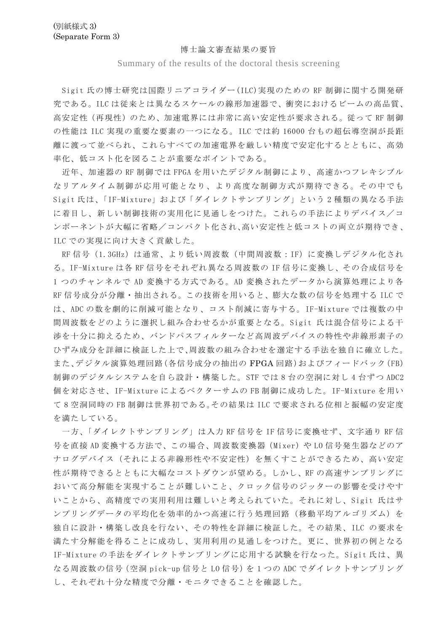### 博士論文審査結果の要旨

# Summary of the results of the doctoral thesis screening

Sigit 氏の博士研究は国際リニアコライダー(ILC)実現のための RF 制御に関する開発研 究である。ILC は従来とは異なるスケールの線形加速器で、衝突におけるビームの高品質、 高安定性(再現性)のため、加速電界には非常に高い安定性が要求される。従って RF 制御 の性能は ILC 実現の重要な要素の一つになる。ILC では約 16000 台もの超伝導空洞が長距 離に渡って並べられ、これらすべての加速電界を厳しい精度で安定化するとともに、高効 率化、低コスト化を図ることが重要なポイントである。

近年、加速器の RF 制御では FPGA を用いたデジタル制御により、高速かつフレキシブル なリアルタイム制御が応用可能となり、より高度な制御方式が期待できる。その中でも Sigit 氏は、「IF-Mixture」および「ダイレクトサンプリング」という 2 種類の異なる手法 に着目し、新しい制御技術の実用化に見通しをつけた。これらの手法によりデバイス/コ ンポーネントが大幅に省略/コンパクト化され、高い安定性と低コストの両立が期待でき、 ILC での実現に向け大きく貢献した。

RF 信号(1.3GHz)は通常、より低い周波数(中間周波数:IF)に変換しデジタル化され る。IF-Mixture は各 RF 信号をそれぞれ異なる周波数の IF 信号に変換し、その合成信号を 1 つのチャンネルで AD 変換する方式である。AD 変換されたデータから演算処理により各 RF 信号成分が分離・抽出される。この技術を用いると、膨大な数の信号を処理する ILC で は、ADC の数を劇的に削減可能となり、コスト削減に寄与する。IF-Mixture では複数の中 間周波数をどのように選択し組み合わせるかが重要となる。Sigit 氏は混合信号による干 渉を十分に抑えるため、バンドパスフィルターなど高周波デバイスの特性や非線形素子の ひずみ成分を詳細に検証した上で、周波数の組み合わせを選定する手法を独自に確立した。 また、デジタル演算処理回路(各信号成分の抽出の FPGA 回路)およびフィードバック(FB) 制御のデジタルシステムを自ら設計・構築した。STF では 8 台の空洞に対し 4 台ずつ ADC2 個を対応させ、IF-Mixture によるベクターサムの FB 制御に成功した。IF-Mixture を用い て 8 空洞同時の FB 制御は世界初である。その結果は ILC で要求される位相と振幅の安定度 を満たしている。

一方、「ダイレクトサンプリング」は入力 RF 信号を IF 信号に変換せず、文字通り RF 信 号を直接 AD 変換する方法で、この場合、周波数変換器 (Mixer) や LO 信号発生器などのア ナログデバイス(それによる非線形性や不安定性)を無くすことができるため、高い安定 性が期待できるとともに大幅なコストダウンが望める。しかし、RF の高速サンプリングに おいて高分解能を実現することが難しいこと、クロック信号のジッターの影響を受けやす いことから、高精度での実用利用は難しいと考えられていた。それに対し、Sigit 氏はサ ンプリングデータの平均化を効率的かつ高速に行う処理回路(移動平均アルゴリズム)を 独自に設計・構築し改良を行ない、その特性を詳細に検証した。その結果、ILC の要求を 満たす分解能を得ることに成功し、実用利用の見通しをつけた。更に、世界初の例となる IF-Mixture の手法をダイレクトサンプリングに応用する試験を行なった。Sigit 氏は、異 なる周波数の信号 (空洞 pick-up 信号と L0 信号)を1つの ADC でダイレクトサンプリング し、それぞれ十分な精度で分離・モニタできることを確認した。